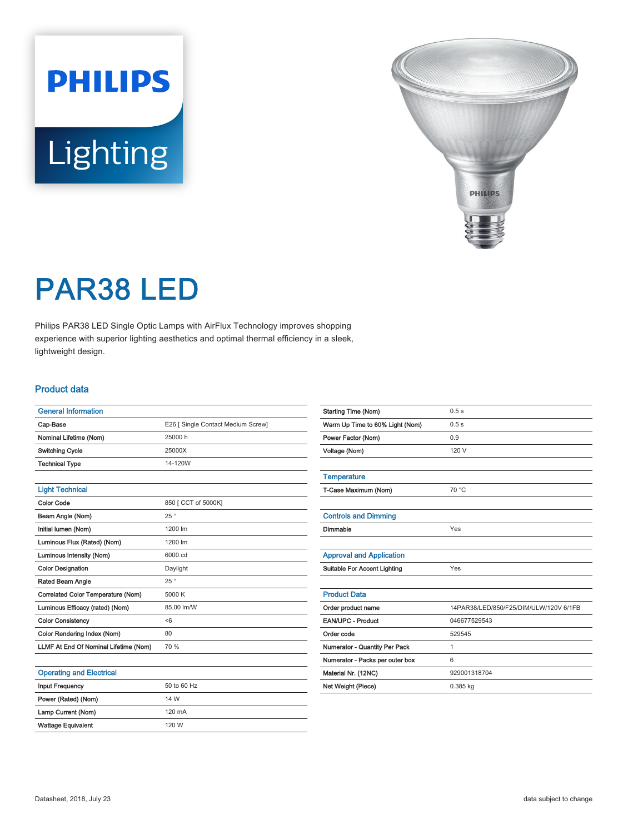# **PHILIPS** Lighting



# PAR38 LED

Philips PAR38 LED Single Optic Lamps with AirFlux Technology improves shopping experience with superior lighting aesthetics and optimal thermal efficiency in a sleek, lightweight design.

#### Product data

| <b>General Information</b>            |                                    |  |
|---------------------------------------|------------------------------------|--|
| Cap-Base                              | E26 [ Single Contact Medium Screw] |  |
| Nominal Lifetime (Nom)                | 25000 h                            |  |
| <b>Switching Cycle</b>                | 25000X                             |  |
| <b>Technical Type</b>                 | 14-120W                            |  |
|                                       |                                    |  |
| <b>Light Technical</b>                |                                    |  |
| <b>Color Code</b>                     | 850 [ CCT of 5000K]                |  |
| Beam Angle (Nom)                      | 25°                                |  |
| Initial lumen (Nom)                   | 1200 lm                            |  |
| Luminous Flux (Rated) (Nom)           | 1200 lm                            |  |
| Luminous Intensity (Nom)              | 6000 cd                            |  |
| <b>Color Designation</b>              | Daylight                           |  |
| Rated Beam Angle                      | 25°                                |  |
| Correlated Color Temperature (Nom)    | 5000 K                             |  |
| Luminous Efficacy (rated) (Nom)       | 85.00 lm/W                         |  |
| <b>Color Consistency</b>              | < 6                                |  |
| Color Rendering Index (Nom)           | 80                                 |  |
| LLMF At End Of Nominal Lifetime (Nom) | 70 %                               |  |
|                                       |                                    |  |

| <b>Starting Time (Nom)</b>          | 0.5s                                   |
|-------------------------------------|----------------------------------------|
| Warm Up Time to 60% Light (Nom)     | 0.5s                                   |
| Power Factor (Nom)                  | 0.9                                    |
| Voltage (Nom)                       | 120 V                                  |
|                                     |                                        |
| <b>Temperature</b>                  |                                        |
| T-Case Maximum (Nom)                | 70 °C                                  |
|                                     |                                        |
| <b>Controls and Dimming</b>         |                                        |
| Dimmable                            | Yes                                    |
|                                     |                                        |
| <b>Approval and Application</b>     |                                        |
| <b>Suitable For Accent Lighting</b> | Yes                                    |
|                                     |                                        |
| <b>Product Data</b>                 |                                        |
| Order product name                  | 14PAR38/LED/850/F25/DIM/ULW/120V 6/1FB |
| EAN/UPC - Product                   | 046677529543                           |
| Order code                          | 529545                                 |
| Numerator - Quantity Per Pack       | 1                                      |
| Numerator - Packs per outer box     | 6                                      |
| Material Nr. (12NC)                 | 929001318704                           |
| Net Weight (Piece)                  | 0.385 kg                               |
|                                     |                                        |

#### Operating and Electrical

| <b>Input Frequency</b>    | 50 to 60 Hz      |
|---------------------------|------------------|
| Power (Rated) (Nom)       | 14 W             |
| Lamp Current (Nom)        | $120 \text{ mA}$ |
| <b>Wattage Equivalent</b> | 120 W            |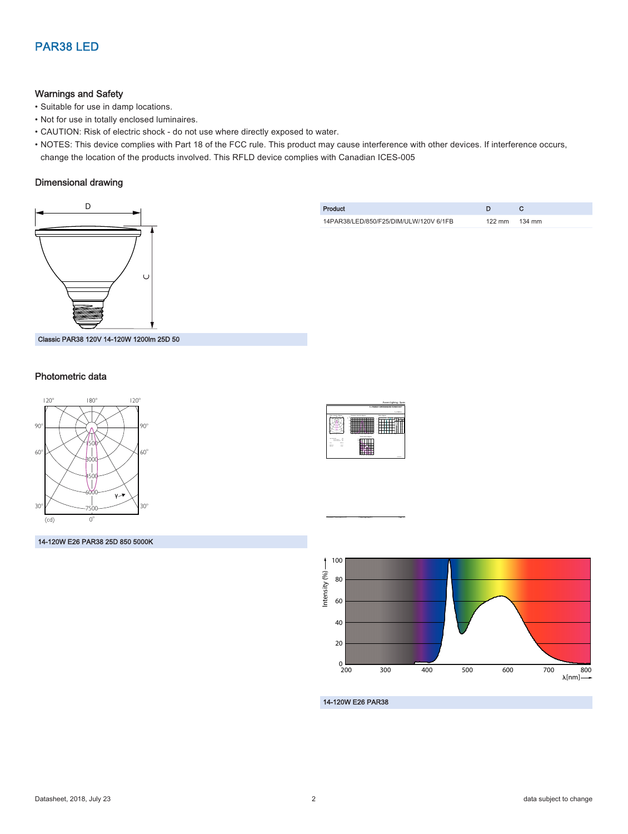## PAR38 LED

#### Warnings and Safety

- Suitable for use in damp locations.
- Not for use in totally enclosed luminaires.
- CAUTION: Risk of electric shock do not use where directly exposed to water.
- NOTES: This device complies with Part 18 of the FCC rule. This product may cause interference with other devices. If interference occurs, change the location of the products involved. This RFLD device complies with Canadian ICES-005

#### Dimensional drawing



| Product                                |                  |        |
|----------------------------------------|------------------|--------|
| 14PAR38/LED/850/F25/DIM/ULW/120V 6/1FB | $122 \text{ mm}$ | 134 mm |



#### Photometric data



14-120W E26 PAR38 25D 850 5000K



CalcuLuX Photometrics 4.5 Philips Lighting B.V. Page: 1/1



14-120W E26 PAR38